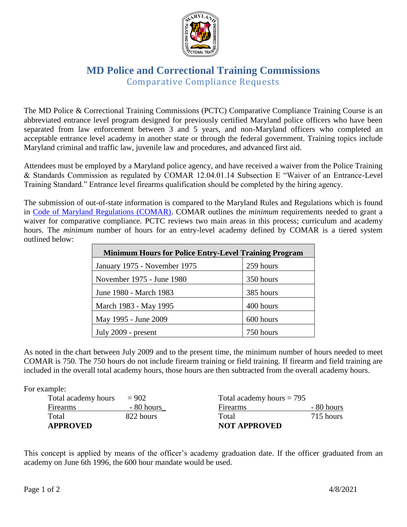

## **MD Police and Correctional Training Commissions** Comparative Compliance Requests

The MD Police & Correctional Training Commissions (PCTC) Comparative Compliance Training Course is an abbreviated entrance level program designed for previously certified Maryland police officers who have been separated from law enforcement between 3 and 5 years, and non-Maryland officers who completed an acceptable entrance level academy in another state or through the federal government. Training topics include Maryland criminal and traffic law, juvenile law and procedures, and advanced first aid.

Attendees must be employed by a Maryland police agency, and have received a waiver from the Police Training & Standards Commission as regulated by COMAR 12.04.01.14 Subsection E "Waiver of an Entrance-Level Training Standard." Entrance level firearms qualification should be completed by the hiring agency.

The submission of out-of-state information is compared to the Maryland Rules and Regulations which is found in [Code of Maryland Regulations \(COMAR\).](https://mdle.net/regs/PTSC_General_Regulations.pdf) COMAR outlines the *minimum* requirements needed to grant a waiver for comparative compliance. PCTC reviews two main areas in this process; curriculum and academy hours. The *minimum* number of hours for an entry-level academy defined by COMAR is a tiered system outlined below:

| <b>Minimum Hours for Police Entry-Level Training Program</b> |           |  |
|--------------------------------------------------------------|-----------|--|
| January 1975 - November 1975                                 | 259 hours |  |
| November 1975 - June 1980                                    | 350 hours |  |
| June 1980 - March 1983                                       | 385 hours |  |
| March 1983 - May 1995                                        | 400 hours |  |
| May 1995 - June 2009                                         | 600 hours |  |
| July 2009 - present                                          | 750 hours |  |

As noted in the chart between July 2009 and to the present time, the minimum number of hours needed to meet COMAR is 750. The 750 hours do not include firearm training or field training. If firearm and field training are included in the overall total academy hours, those hours are then subtracted from the overall academy hours.

For example:

| <b>NOT APPROVED</b><br><b>APPROVED</b> |            |                             |            |
|----------------------------------------|------------|-----------------------------|------------|
| Total                                  | 822 hours  | Total                       | 715 hours  |
| Firearms                               | - 80 hours | <b>Firearms</b>             | - 80 hours |
| Total academy hours                    | $= 902$    | Total academy hours $= 795$ |            |

This concept is applied by means of the officer's academy graduation date. If the officer graduated from an academy on June 6th 1996, the 600 hour mandate would be used.